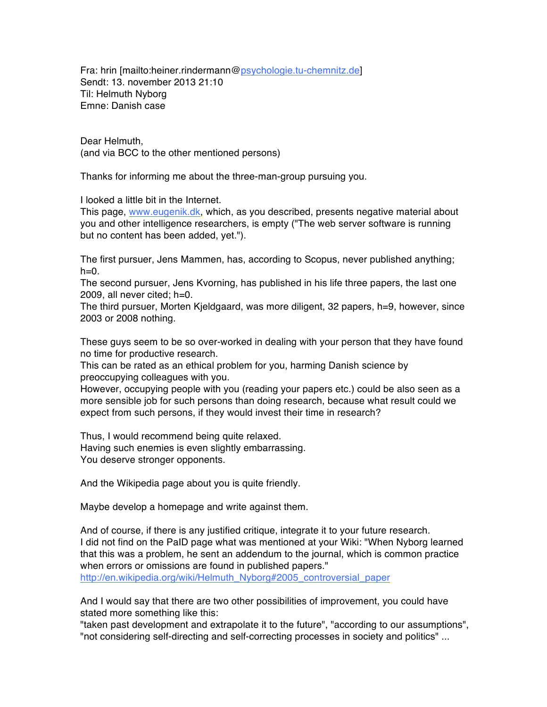Fra: hrin [mailto:heiner.rindermann@psychologie.tu-chemnitz.de] Sendt: 13. november 2013 21:10 Til: Helmuth Nyborg Emne: Danish case

Dear Helmuth, (and via BCC to the other mentioned persons)

Thanks for informing me about the three-man-group pursuing you.

I looked a little bit in the Internet.

This page, www.eugenik.dk, which, as you described, presents negative material about you and other intelligence researchers, is empty ("The web server software is running but no content has been added, yet.").

The first pursuer, Jens Mammen, has, according to Scopus, never published anything;  $h=0$ .

The second pursuer, Jens Kvorning, has published in his life three papers, the last one 2009, all never cited; h=0.

The third pursuer, Morten Kjeldgaard, was more diligent, 32 papers, h=9, however, since 2003 or 2008 nothing.

These guys seem to be so over-worked in dealing with your person that they have found no time for productive research.

This can be rated as an ethical problem for you, harming Danish science by preoccupying colleagues with you.

However, occupying people with you (reading your papers etc.) could be also seen as a more sensible job for such persons than doing research, because what result could we expect from such persons, if they would invest their time in research?

Thus, I would recommend being quite relaxed. Having such enemies is even slightly embarrassing. You deserve stronger opponents.

And the Wikipedia page about you is quite friendly.

Maybe develop a homepage and write against them.

And of course, if there is any justified critique, integrate it to your future research. I did not find on the PaID page what was mentioned at your Wiki: "When Nyborg learned that this was a problem, he sent an addendum to the journal, which is common practice when errors or omissions are found in published papers."

http://en.wikipedia.org/wiki/Helmuth\_Nyborg#2005\_controversial\_paper

And I would say that there are two other possibilities of improvement, you could have stated more something like this:

"taken past development and extrapolate it to the future", "according to our assumptions", "not considering self-directing and self-correcting processes in society and politics" ...